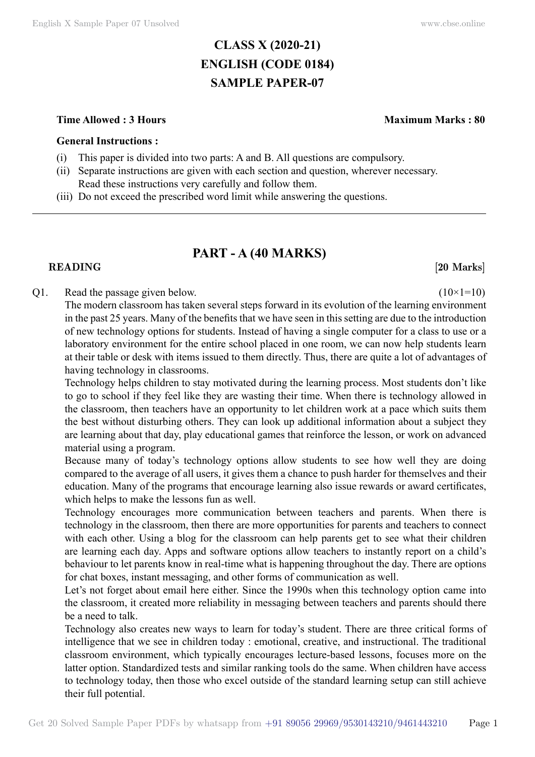# **CLASS X (2020-21) ENGLISH (CODE 0184) SAMPLE PAPER-07**

#### **Time Allowed : 3 Hours Maximum Marks : 80**

#### **General Instructions :**

- (i) This paper is divided into two parts: A and B. All questions are compulsory.
- (ii) Separate instructions are given with each section and question, wherever necessary. Read these instructions very carefully and follow them.
- (iii) Do not exceed the prescribed word limit while answering the questions.

## **PART - A (40 Marks)**

### **READING** [20 Marks]

#### Q1. Read the passage given below.  $(10 \times 1=10)$

The modern classroom has taken several steps forward in its evolution of the learning environment in the past 25 years. Many of the benefits that we have seen in this setting are due to the introduction of new technology options for students. Instead of having a single computer for a class to use or a laboratory environment for the entire school placed in one room, we can now help students learn at their table or desk with items issued to them directly. Thus, there are quite a lot of advantages of having technology in classrooms.

Technology helps children to stay motivated during the learning process. Most students don't like to go to school if they feel like they are wasting their time. When there is technology allowed in the classroom, then teachers have an opportunity to let children work at a pace which suits them the best without disturbing others. They can look up additional information about a subject they are learning about that day, play educational games that reinforce the lesson, or work on advanced material using a program.

Because many of today's technology options allow students to see how well they are doing compared to the average of all users, it gives them a chance to push harder for themselves and their education. Many of the programs that encourage learning also issue rewards or award certificates, which helps to make the lessons fun as well.

Technology encourages more communication between teachers and parents. When there is technology in the classroom, then there are more opportunities for parents and teachers to connect with each other. Using a blog for the classroom can help parents get to see what their children are learning each day. Apps and software options allow teachers to instantly report on a child's behaviour to let parents know in real-time what is happening throughout the day. There are options for chat boxes, instant messaging, and other forms of communication as well.

Let's not forget about email here either. Since the 1990s when this technology option came into the classroom, it created more reliability in messaging between teachers and parents should there be a need to talk.

Technology also creates new ways to learn for today's student. There are three critical forms of intelligence that we see in children today : emotional, creative, and instructional. The traditional classroom environment, which typically encourages lecture-based lessons, focuses more on the latter option. Standardized tests and similar ranking tools do the same. When children have access to technology today, then those who excel outside of the standard learning setup can still achieve their full potential.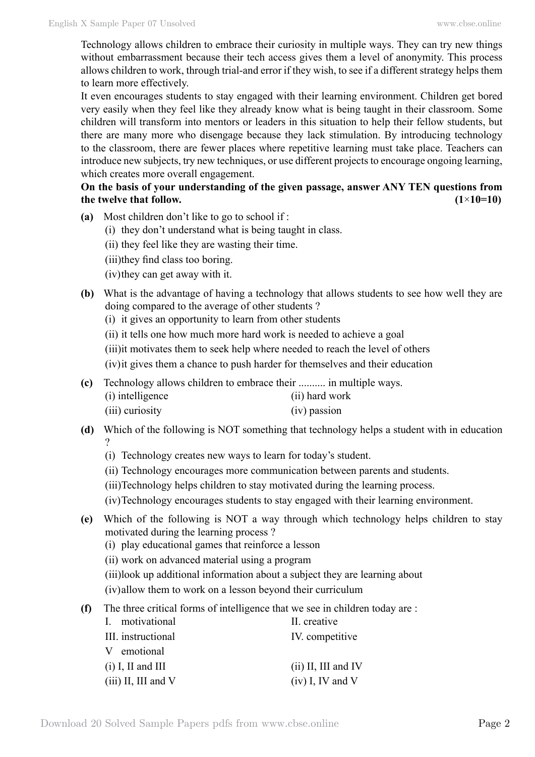Technology allows children to embrace their curiosity in multiple ways. They can try new things without embarrassment because their tech access gives them a level of anonymity. This process allows children to work, through trial-and error if they wish, to see if a different strategy helps them to learn more effectively.

It even encourages students to stay engaged with their learning environment. Children get bored very easily when they feel like they already know what is being taught in their classroom. Some children will transform into mentors or leaders in this situation to help their fellow students, but there are many more who disengage because they lack stimulation. By introducing technology to the classroom, there are fewer places where repetitive learning must take place. Teachers can introduce new subjects, try new techniques, or use different projects to encourage ongoing learning, which creates more overall engagement.

## **On the basis of your understanding of the given passage, answer ANY TEN questions from the twelve that follow.**  $(1 \times 10=10)$

- **(a)** Most children don't like to go to school if :
	- (i) they don't understand what is being taught in class.
	- (ii) they feel like they are wasting their time.
	- (iii)they find class too boring.
	- (iv)they can get away with it.
- **(b)** What is the advantage of having a technology that allows students to see how well they are doing compared to the average of other students ?
	- (i) it gives an opportunity to learn from other students
	- (ii) it tells one how much more hard work is needed to achieve a goal
	- (iii)it motivates them to seek help where needed to reach the level of others

(iv)it gives them a chance to push harder for themselves and their education

- **(c)** Technology allows children to embrace their .......... in multiple ways.
	- (i) intelligence (ii) hard work
	- (iii) curiosity (iv) passion
- **(d)** Which of the following is NOT something that technology helps a student with in education ?
	- (i) Technology creates new ways to learn for today's student.
	- (ii) Technology encourages more communication between parents and students.
	- (iii)Technology helps children to stay motivated during the learning process.
	- (iv)Technology encourages students to stay engaged with their learning environment.
- **(e)** Which of the following is NOT a way through which technology helps children to stay motivated during the learning process ?
	- (i) play educational games that reinforce a lesson
	- (ii) work on advanced material using a program
	- (iii)look up additional information about a subject they are learning about
	- (iv)allow them to work on a lesson beyond their curriculum
- **(f)** The three critical forms of intelligence that we see in children today are :

| I. motivational       | II. creative          |
|-----------------------|-----------------------|
| III. instructional    | IV. competitive       |
| V emotional           |                       |
| $(i)$ I, II and III   | $(ii)$ II, III and IV |
| $(iii)$ II, III and V | $(iv)$ I, IV and V    |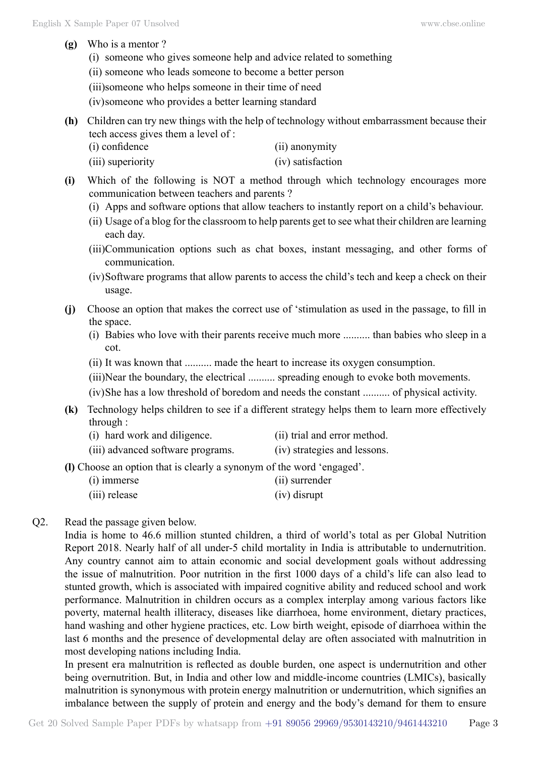- **(g)** Who is a mentor ?
	- (i) someone who gives someone help and advice related to something
	- (ii) someone who leads someone to become a better person
	- (iii)someone who helps someone in their time of need
	- (iv)someone who provides a better learning standard
- **(h)** Children can try new things with the help of technology without embarrassment because their tech access gives them a level of :

| (i) confidence    | (ii) anonymity    |
|-------------------|-------------------|
| (iii) superiority | (iv) satisfaction |

- **(i)** Which of the following is NOT a method through which technology encourages more communication between teachers and parents ?
	- (i) Apps and software options that allow teachers to instantly report on a child's behaviour.
	- (ii) Usage of a blog for the classroom to help parents get to see what their children are learning each day.
	- (iii)Communication options such as chat boxes, instant messaging, and other forms of communication.
	- (iv)Software programs that allow parents to access the child's tech and keep a check on their usage.
- **(j)** Choose an option that makes the correct use of 'stimulation as used in the passage, to fill in the space.
	- (i) Babies who love with their parents receive much more .......... than babies who sleep in a cot.
	- (ii) It was known that .......... made the heart to increase its oxygen consumption.
	- (iii)Near the boundary, the electrical .......... spreading enough to evoke both movements.
	- (iv)She has a low threshold of boredom and needs the constant .......... of physical activity.
- **(k)** Technology helps children to see if a different strategy helps them to learn more effectively through :
	- (i) hard work and diligence. (ii) trial and error method.
	- (iii) advanced software programs. (iv) strategies and lessons.
- **(l)** Choose an option that is clearly a synonym of the word 'engaged'.
	- (i) immerse (ii) surrender
	- (iii) release (iv) disrupt
- Q2. Read the passage given below.

India is home to 46.6 million stunted children, a third of world's total as per Global Nutrition Report 2018. Nearly half of all under-5 child mortality in India is attributable to undernutrition. Any country cannot aim to attain economic and social development goals without addressing the issue of malnutrition. Poor nutrition in the first 1000 days of a child's life can also lead to stunted growth, which is associated with impaired cognitive ability and reduced school and work performance. Malnutrition in children occurs as a complex interplay among various factors like poverty, maternal health illiteracy, diseases like diarrhoea, home environment, dietary practices, hand washing and other hygiene practices, etc. Low birth weight, episode of diarrhoea within the last 6 months and the presence of developmental delay are often associated with malnutrition in most developing nations including India.

In present era malnutrition is reflected as double burden, one aspect is undernutrition and other being overnutrition. But, in India and other low and middle-income countries (LMICs), basically malnutrition is synonymous with protein energy malnutrition or undernutrition, which signifies an imbalance between the supply of protein and energy and the body's demand for them to ensure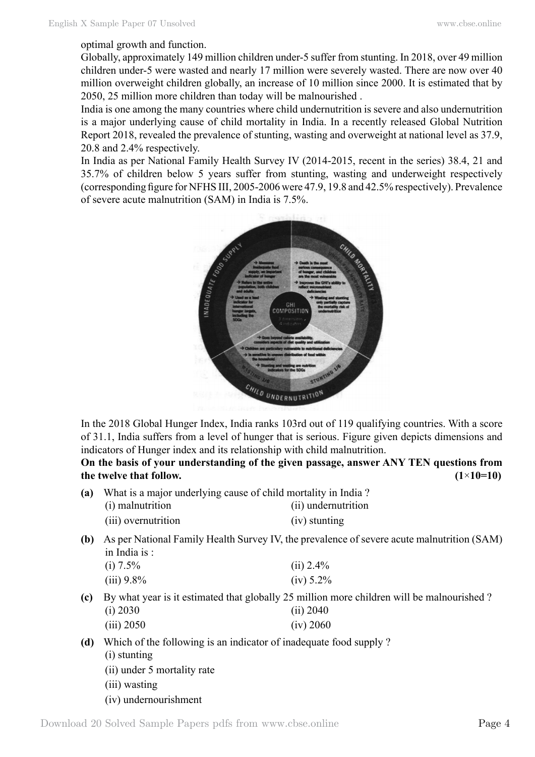#### optimal growth and function.

Globally, approximately 149 million children under-5 suffer from stunting. In 2018, over 49 million children under-5 were wasted and nearly 17 million were severely wasted. There are now over 40 million overweight children globally, an increase of 10 million since 2000. It is estimated that by 2050, 25 million more children than today will be malnourished .

India is one among the many countries where child undernutrition is severe and also undernutrition is a major underlying cause of child mortality in India. In a recently released Global Nutrition Report 2018, revealed the prevalence of stunting, wasting and overweight at national level as 37.9, 20.8 and 2.4% respectively.

In India as per National Family Health Survey IV (2014-2015, recent in the series) 38.4, 21 and 35.7% of children below 5 years suffer from stunting, wasting and underweight respectively (corresponding figure for NFHS III, 2005-2006 were 47.9, 19.8 and 42.5% respectively). Prevalence of severe acute malnutrition (SAM) in India is 7.5%.



In the 2018 Global Hunger Index, India ranks 103rd out of 119 qualifying countries. With a score of 31.1, India suffers from a level of hunger that is serious. Figure given depicts dimensions and indicators of Hunger index and its relationship with child malnutrition.

**On the basis of your understanding of the given passage, answer ANY TEN questions from the twelve that follow.**  $(1 \times 10=10)$ 

| (a) | What is a major underlying cause of child mortality in India? |                     |  |
|-----|---------------------------------------------------------------|---------------------|--|
|     | (i) malnutrition                                              | (ii) undernutrition |  |
|     | (iii) overnutrition                                           | (iv) stunting       |  |

**(b)** As per National Family Health Survey IV, the prevalence of severe acute malnutrition (SAM) in India is :

| (i) 7.5%   | $(ii) 2.4\%$ |
|------------|--------------|
| (iii) 9.8% | $(iv) 5.2\%$ |

- **(c)** By what year is it estimated that globally 25 million more children will be malnourished ? (i) 2030 (ii) 2040 (iii) 2050 (iv) 2060
- **(d)** Which of the following is an indicator of inadequate food supply ?
	- (i) stunting
	- (ii) under 5 mortality rate
	- (iii) wasting
	- (iv) undernourishment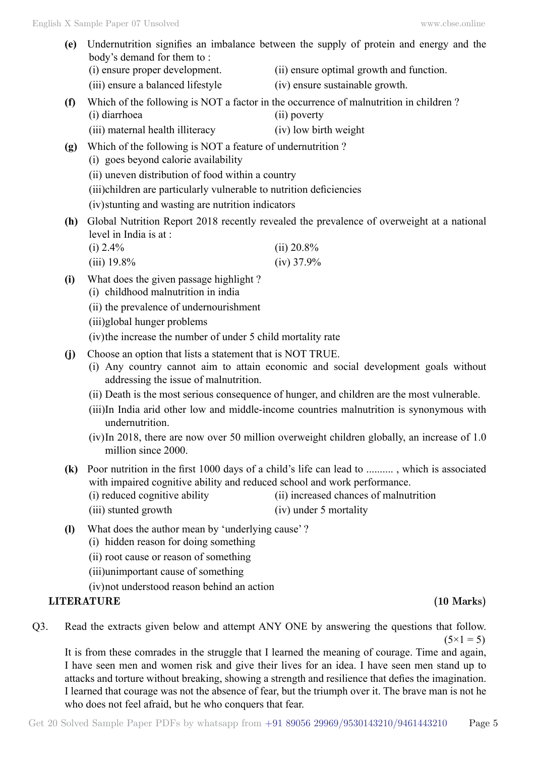| (e)                         | Undernutrition signifies an imbalance between the supply of protein and energy and the<br>body's demand for them to:                                                                                       |                                                                                                       |  |
|-----------------------------|------------------------------------------------------------------------------------------------------------------------------------------------------------------------------------------------------------|-------------------------------------------------------------------------------------------------------|--|
|                             | (i) ensure proper development.                                                                                                                                                                             | (ii) ensure optimal growth and function.                                                              |  |
|                             | (iii) ensure a balanced lifestyle                                                                                                                                                                          | (iv) ensure sustainable growth.                                                                       |  |
| (f)                         | (i) diarrhoea                                                                                                                                                                                              | Which of the following is NOT a factor in the occurrence of malnutrition in children?<br>(ii) poverty |  |
|                             | (iii) maternal health illiteracy                                                                                                                                                                           | (iv) low birth weight                                                                                 |  |
| (g)                         | Which of the following is NOT a feature of undernutrition?<br>(i) goes beyond calorie availability                                                                                                         |                                                                                                       |  |
|                             | (ii) uneven distribution of food within a country                                                                                                                                                          |                                                                                                       |  |
|                             | (iii)children are particularly vulnerable to nutrition deficiencies                                                                                                                                        |                                                                                                       |  |
|                             | (iv) stunting and wasting are nutrition indicators                                                                                                                                                         |                                                                                                       |  |
| (h)                         | level in India is at :                                                                                                                                                                                     | Global Nutrition Report 2018 recently revealed the prevalence of overweight at a national             |  |
|                             | $(i)$ 2.4%                                                                                                                                                                                                 | $(ii) 20.8\%$                                                                                         |  |
|                             | $(iii)$ 19.8%                                                                                                                                                                                              | $(iv)$ 37.9%                                                                                          |  |
| (i)                         | What does the given passage highlight?<br>(i) childhood malnutrition in india                                                                                                                              |                                                                                                       |  |
|                             | (ii) the prevalence of undernourishment                                                                                                                                                                    |                                                                                                       |  |
|                             | (iii)global hunger problems                                                                                                                                                                                |                                                                                                       |  |
|                             | (iv) the increase the number of under 5 child mortality rate                                                                                                                                               |                                                                                                       |  |
| (j)                         | Choose an option that lists a statement that is NOT TRUE.                                                                                                                                                  |                                                                                                       |  |
|                             | addressing the issue of malnutrition.                                                                                                                                                                      | (i) Any country cannot aim to attain economic and social development goals without                    |  |
|                             | (ii) Death is the most serious consequence of hunger, and children are the most vulnerable.<br>(iii)In India arid other low and middle-income countries malnutrition is synonymous with<br>undernutrition. |                                                                                                       |  |
|                             | million since 2000.                                                                                                                                                                                        | $(iv)$ In 2018, there are now over 50 million overweight children globally, an increase of 1.0        |  |
| (k)                         | with impaired cognitive ability and reduced school and work performance.                                                                                                                                   | Poor nutrition in the first 1000 days of a child's life can lead to , which is associated             |  |
|                             | (i) reduced cognitive ability                                                                                                                                                                              | (ii) increased chances of malnutrition                                                                |  |
|                             | (iii) stunted growth                                                                                                                                                                                       | (iv) under 5 mortality                                                                                |  |
| $\left( \mathbf{l} \right)$ | What does the author mean by 'underlying cause'?<br>(i) hidden reason for doing something                                                                                                                  |                                                                                                       |  |
|                             | (ii) root cause or reason of something                                                                                                                                                                     |                                                                                                       |  |
|                             | (iii)unimportant cause of something                                                                                                                                                                        |                                                                                                       |  |
|                             | (iv) not understood reason behind an action                                                                                                                                                                |                                                                                                       |  |
|                             | <b>LITERATURE</b>                                                                                                                                                                                          | $(10 \text{ Marks})$                                                                                  |  |

Q3. Read the extracts given below and attempt ANY ONE by answering the questions that follow.  $(5 \times 1 = 5)$ 

It is from these comrades in the struggle that I learned the meaning of courage. Time and again, I have seen men and women risk and give their lives for an idea. I have seen men stand up to attacks and torture without breaking, showing a strength and resilience that defies the imagination. I learned that courage was not the absence of fear, but the triumph over it. The brave man is not he who does not feel afraid, but he who conquers that fear.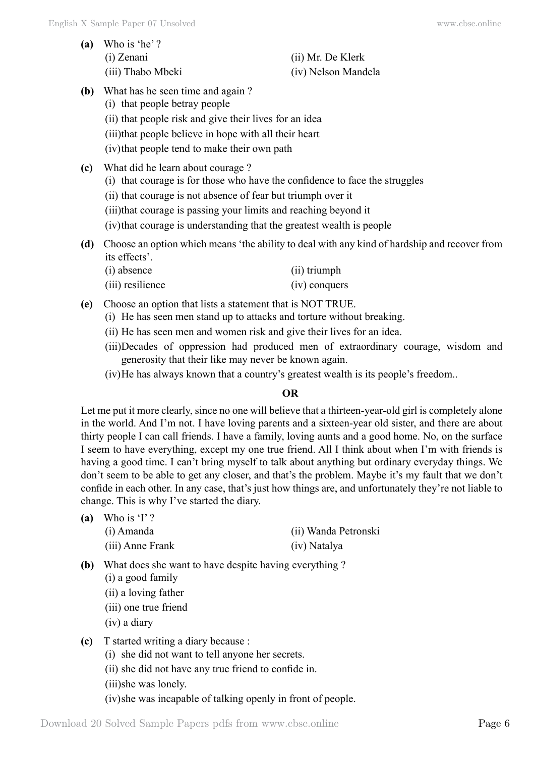| (a) Who is 'he'?  |                     |
|-------------------|---------------------|
| (i) Zenani        | (ii) Mr. De Klerk   |
| (iii) Thabo Mbeki | (iv) Nelson Mandela |

- **(b)** What has he seen time and again ?
	- (i) that people betray people
	- (ii) that people risk and give their lives for an idea
	- (iii)that people believe in hope with all their heart
	- (iv)that people tend to make their own path
- **(c)** What did he learn about courage ?
	- (i) that courage is for those who have the confidence to face the struggles
	- (ii) that courage is not absence of fear but triumph over it
	- (iii)that courage is passing your limits and reaching beyond it
	- (iv)that courage is understanding that the greatest wealth is people
- **(d)** Choose an option which means 'the ability to deal with any kind of hardship and recover from its effects'.
	- (i) absence (ii) triumph
	- (iii) resilience (iv) conquers
- **(e)** Choose an option that lists a statement that is NOT TRUE.
	- (i) He has seen men stand up to attacks and torture without breaking.
	- (ii) He has seen men and women risk and give their lives for an idea.
	- (iii)Decades of oppression had produced men of extraordinary courage, wisdom and generosity that their like may never be known again.
	- (iv)He has always known that a country's greatest wealth is its people's freedom..

## **O**

Let me put it more clearly, since no one will believe that a thirteen-year-old girl is completely alone in the world. And I'm not. I have loving parents and a sixteen-year old sister, and there are about thirty people I can call friends. I have a family, loving aunts and a good home. No, on the surface I seem to have everything, except my one true friend. All I think about when I'm with friends is having a good time. I can't bring myself to talk about anything but ordinary everyday things. We don't seem to be able to get any closer, and that's the problem. Maybe it's my fault that we don't confide in each other. In any case, that's just how things are, and unfortunately they're not liable to change. This is why I've started the diary.

| (a) Who is 'I'?  |                      |
|------------------|----------------------|
| (i) Amanda       | (ii) Wanda Petronski |
| (iii) Anne Frank | (iv) Natalya         |

- **(b)** What does she want to have despite having everything ?
	- (i) a good family
	- (ii) a loving father
	- (iii) one true friend
	- (iv) a diary
- **(c)** T started writing a diary because :
	- (i) she did not want to tell anyone her secrets.
	- (ii) she did not have any true friend to confide in.
	- (iii)she was lonely.

(iv)she was incapable of talking openly in front of people.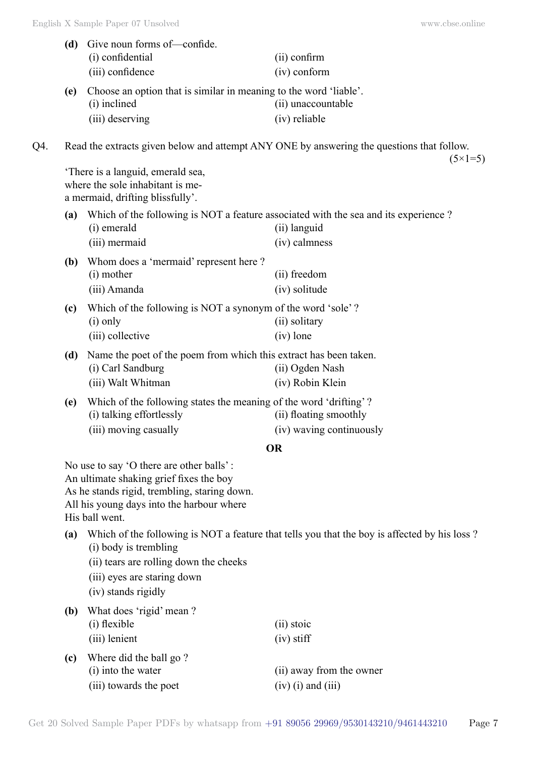|     | (d) | Give noun forms of-confide.<br>(i) confidential<br>(iii) confidence                                                                                                                                                                                                                                  | (ii) confirm<br>(iv) conform                                                                                    |
|-----|-----|------------------------------------------------------------------------------------------------------------------------------------------------------------------------------------------------------------------------------------------------------------------------------------------------------|-----------------------------------------------------------------------------------------------------------------|
|     | (e) | Choose an option that is similar in meaning to the word 'liable'.<br>(i) inclined<br>(iii) deserving                                                                                                                                                                                                 | (ii) unaccountable<br>(iv) reliable                                                                             |
| Q4. |     |                                                                                                                                                                                                                                                                                                      | Read the extracts given below and attempt ANY ONE by answering the questions that follow.<br>$(5 \times 1 = 5)$ |
|     |     | There is a languid, emerald sea,<br>where the sole inhabitant is me-<br>a mermaid, drifting blissfully'.                                                                                                                                                                                             |                                                                                                                 |
|     | (a) | Which of the following is NOT a feature associated with the sea and its experience?<br>(i) emerald<br>(iii) mermaid                                                                                                                                                                                  | (ii) languid<br>(iv) calmness                                                                                   |
|     | (b) | Whom does a 'mermaid' represent here?<br>(i) mother<br>(iii) Amanda                                                                                                                                                                                                                                  | (ii) freedom<br>(iv) solitude                                                                                   |
|     | (c) | Which of the following is NOT a synonym of the word 'sole'?<br>$(i)$ only<br>(iii) collective                                                                                                                                                                                                        | (ii) solitary<br>$(iv)$ lone                                                                                    |
|     | (d) | Name the poet of the poem from which this extract has been taken.<br>(i) Carl Sandburg<br>(iii) Walt Whitman                                                                                                                                                                                         | (ii) Ogden Nash<br>(iv) Robin Klein                                                                             |
|     | (e) | Which of the following states the meaning of the word 'drifting'?<br>(i) talking effortlessly<br>(iii) moving casually                                                                                                                                                                               | (ii) floating smoothly<br>(iv) waving continuously                                                              |
|     |     |                                                                                                                                                                                                                                                                                                      | <b>OR</b>                                                                                                       |
|     | (a) | No use to say 'O there are other balls':<br>An ultimate shaking grief fixes the boy<br>As he stands rigid, trembling, staring down.<br>All his young days into the harbour where<br>His ball went.<br>(i) body is trembling<br>(ii) tears are rolling down the cheeks<br>(iii) eyes are staring down | Which of the following is NOT a feature that tells you that the boy is affected by his loss?                    |
|     | (b) | (iv) stands rigidly<br>What does 'rigid' mean ?                                                                                                                                                                                                                                                      |                                                                                                                 |
|     |     | (i) flexible<br>(iii) lenient                                                                                                                                                                                                                                                                        | (ii) stoic<br>$(iv)$ stiff                                                                                      |
|     | (c) | Where did the ball go?<br>(i) into the water<br>(iii) towards the poet                                                                                                                                                                                                                               | (ii) away from the owner<br>$(iv)$ (i) and (iii)                                                                |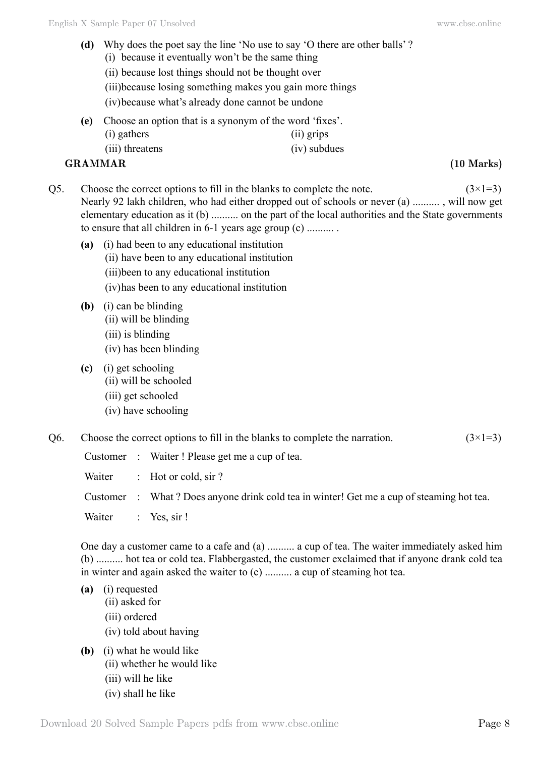- **(d)** Why does the poet say the line 'No use to say 'O there are other balls' ?
	- (i) because it eventually won't be the same thing
	- (ii) because lost things should not be thought over
	- (iii)because losing something makes you gain more things
	- (iv)because what's already done cannot be undone
- **(e)** Choose an option that is a synonym of the word 'fixes'. (i) gathers (ii) grips
	- (iii) threatens (iv) subdues

## **GRAMMAR (10 Marks)**

- Q5. Choose the correct options to fill in the blanks to complete the note.  $(3\times1=3)$ Nearly 92 lakh children, who had either dropped out of schools or never (a) .......... , will now get elementary education as it (b) .......... on the part of the local authorities and the State governments to ensure that all children in 6-1 years age group (c) .......... .
	- **(a)** (i) had been to any educational institution (ii) have been to any educational institution (iii)been to any educational institution (iv)has been to any educational institution
	- **(b)** (i) can be blinding (ii) will be blinding (iii) is blinding (iv) has been blinding
	- **(c)** (i) get schooling
		- (ii) will be schooled
		- (iii) get schooled
		- (iv) have schooling

| Q6. | Choose the correct options to fill in the blanks to complete the narration. | $(3\times1=3)$ |
|-----|-----------------------------------------------------------------------------|----------------|
|-----|-----------------------------------------------------------------------------|----------------|

|                    | Customer : Waiter! Please get me a cup of tea.                                            |
|--------------------|-------------------------------------------------------------------------------------------|
|                    | Waiter : Hot or cold, $\sin$ ?                                                            |
|                    | Customer : What ? Does anyone drink cold tea in winter! Get me a cup of steaming hot tea. |
| Waiter : Yes, sir! |                                                                                           |

One day a customer came to a cafe and (a) .......... a cup of tea. The waiter immediately asked him (b) .......... hot tea or cold tea. Flabbergasted, the customer exclaimed that if anyone drank cold tea in winter and again asked the waiter to (c) .......... a cup of steaming hot tea.

- **(a)** (i) requested
	- (ii) asked for
	- (iii) ordered
	- (iv) told about having
- **(b)** (i) what he would like
	- (ii) whether he would like
		- (iii) will he like
		- (iv) shall he like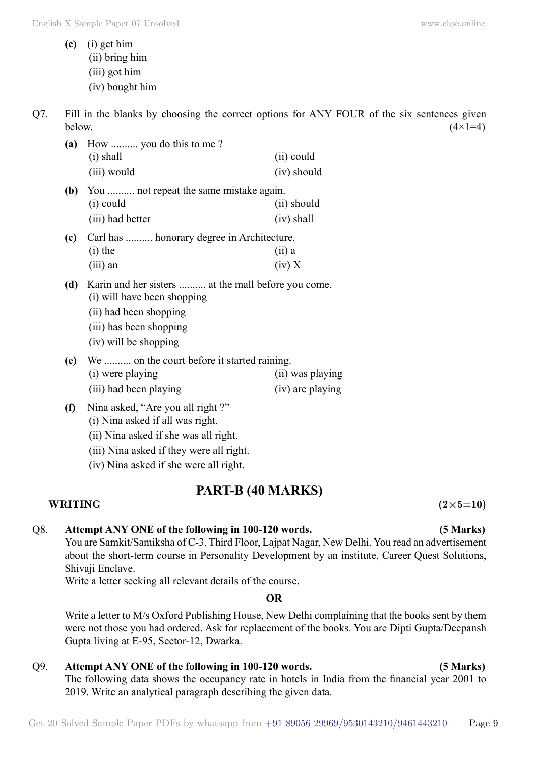- **(c)** (i) get him (ii) bring him (iii) got him (iv) bought him
- Q7. Fill in the blanks by choosing the correct options for ANY FOUR of the six sentences given below.  $(4 \times 1=4)$

| (a) | How  you do this to me?                                                            |               |  |
|-----|------------------------------------------------------------------------------------|---------------|--|
|     | $(i)$ shall                                                                        | (ii) could    |  |
|     | (iii) would                                                                        | $(iv)$ should |  |
| (b) | You  not repeat the same mistake again.                                            |               |  |
|     | $(i)$ could                                                                        | (ii) should   |  |
|     | (iii) had better                                                                   | $(iv)$ shall  |  |
| (c) | Carl has  honorary degree in Architecture.                                         |               |  |
|     | $(i)$ the                                                                          | $(ii)$ a      |  |
|     | $(iii)$ an                                                                         | (iv) X        |  |
| (d) | Karin and her sisters  at the mall before you come.<br>(i) will have been shopping |               |  |
|     | (ii) had been shopping                                                             |               |  |
|     | (iii) has been shopping                                                            |               |  |
|     | (iv) will be shopping                                                              |               |  |

- **(e)** We .......... on the court before it started raining. (i) were playing (ii) was playing (iii) had been playing (iv) are playing
- **(f)** Nina asked, "Are you all right ?" (i) Nina asked if all was right.
	- (ii) Nina asked if she was all right.
	- (iii) Nina asked if they were all right.
	- (iv) Nina asked if she were all right.

# **PART-B (40 Marks)**

## $\text{WRITING} \tag{2\times5=10}$

## Q8. **Attempt ANY ONE of the following in 100-120 words. (5 Marks)**

You are Samkit/Samiksha of C-3, Third Floor, Lajpat Nagar, New Delhi. You read an advertisement about the short-term course in Personality Development by an institute, Career Quest Solutions, Shivaji Enclave.

Write a letter seeking all relevant details of the course.

 **O**

Write a letter to M/s Oxford Publishing House, New Delhi complaining that the books sent by them were not those you had ordered. Ask for replacement of the books. You are Dipti Gupta/Deepansh Gupta living at E-95, Sector-12, Dwarka.

## Q9. **Attempt ANY ONE of the following in 100-120 words. (5 Marks)**

The following data shows the occupancy rate in hotels in India from the financial year 2001 to 2019. Write an analytical paragraph describing the given data.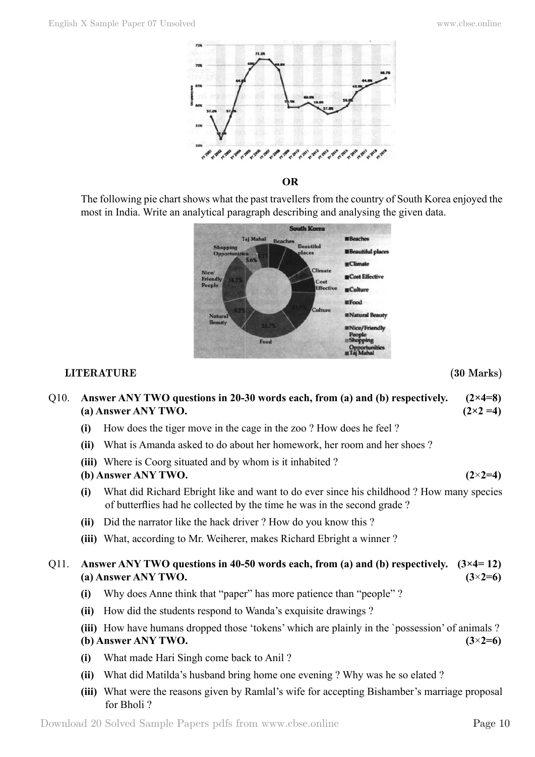



The following pie chart shows what the past travellers from the country of South Korea enjoyed the most in India. Write an analytical paragraph describing and analysing the given data.



### **LITERATURE (30 Marks)**

## Q10. **Answer ANY TWO questions in 20-30 words each, from (a) and (b) respectively. (2×4=8) (a) Answer ANY TWO. (2×2 =4)**

- **(i)** How does the tiger move in the cage in the zoo ? How does he feel ?
- **(ii)** What is Amanda asked to do about her homework, her room and her shoes ?
- **(iii)** Where is Coorg situated and by whom is it inhabited ?

## **(b) Answer ANY TWO. (2**×**2=4)**

- **(i)** What did Richard Ebright like and want to do ever since his childhood ? How many species of butterflies had he collected by the time he was in the second grade ?
- **(ii)** Did the narrator like the hack driver ? How do you know this ?
- **(iii)** What, according to Mr. Weiherer, makes Richard Ebright a winner ?

## Q11. **Answer ANY TWO questions in 40-50 words each, from (a) and (b) respectively. (3×4= 12) (a) Answer ANY TWO. (3**×**2=6)**

- **(i)** Why does Anne think that "paper" has more patience than "people" ?
- **(ii)** How did the students respond to Wanda's exquisite drawings ?
- **(iii)** How have humans dropped those 'tokens' which are plainly in the `possession' of animals ? **(b) Answer ANY TWO. (3**×**2=6)**
- **(i)** What made Hari Singh come back to Anil ?
- **(ii)** What did Matilda's husband bring home one evening ? Why was he so elated ?
- **(iii)** What were the reasons given by Ramlal's wife for accepting Bishamber's marriage proposal for Bholi ?